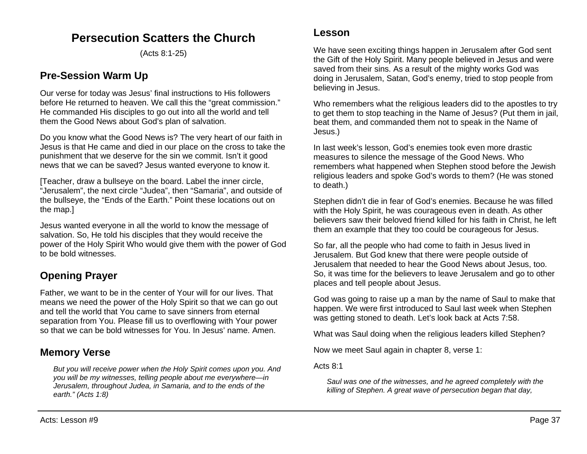# **Persecution Scatters the Church**

(Acts 8:1-25)

# **Pre-Session Warm Up**

Our verse for today was Jesus' final instructions to His followers before He returned to heaven. We call this the "great commission." He commanded His disciples to go out into all the world and tell them the Good News about God's plan of salvation.

Do you know what the Good News is? The very heart of our faith in Jesus is that He came and died in our place on the cross to take the punishment that we deserve for the sin we commit. Isn't it good news that we can be saved? Jesus wanted everyone to know it.

[Teacher, draw a bullseye on the board. Label the inner circle, "Jerusalem", the next circle "Judea", then "Samaria", and outside of the bullseye, the "Ends of the Earth." Point these locations out on the map.]

Jesus wanted everyone in all the world to know the message of salvation. So, He told his disciples that they would receive the power of the Holy Spirit Who would give them with the power of God to be bold witnesses.

# **Opening Prayer**

Father, we want to be in the center of Your will for our lives. That means we need the power of the Holy Spirit so that we can go out and tell the world that You came to save sinners from eternal separation from You. Please fill us to overflowing with Your power so that we can be bold witnesses for You. In Jesus' name. Amen.

## **Memory Verse**

*But you will receive power when the Holy Spirit comes upon you. And you will be my witnesses, telling people about me everywhere—in Jerusalem, throughout Judea, in Samaria, and to the ends of the earth." (Acts 1:8)*

We have seen exciting things happen in Jerusalem after God sent the Gift of the Holy Spirit. Many people believed in Jesus and were saved from their sins. As a result of the mighty works God was doing in Jerusalem, Satan, God's enemy, tried to stop people from believing in Jesus.

Who remembers what the religious leaders did to the apostles to try to get them to stop teaching in the Name of Jesus? (Put them in jail, beat them, and commanded them not to speak in the Name of Jesus.)

In last week's lesson, God's enemies took even more drastic measures to silence the message of the Good News. Who remembers what happened when Stephen stood before the Jewish religious leaders and spoke God's words to them? (He was stoned to death.)

Stephen didn't die in fear of God's enemies. Because he was filled with the Holy Spirit, he was courageous even in death. As other believers saw their beloved friend killed for his faith in Christ, he left them an example that they too could be courageous for Jesus.

So far, all the people who had come to faith in Jesus lived in Jerusalem. But God knew that there were people outside of Jerusalem that needed to hear the Good News about Jesus, too. So, it was time for the believers to leave Jerusalem and go to other places and tell people about Jesus.

God was going to raise up a man by the name of Saul to make that happen. We were first introduced to Saul last week when Stephen was getting stoned to death. Let's look back at Acts 7:58.

What was Saul doing when the religious leaders killed Stephen?

Now we meet Saul again in chapter 8, verse 1:

Acts 8:1

*Saul was one of the witnesses, and he agreed completely with the killing of Stephen. A great wave of persecution began that day,*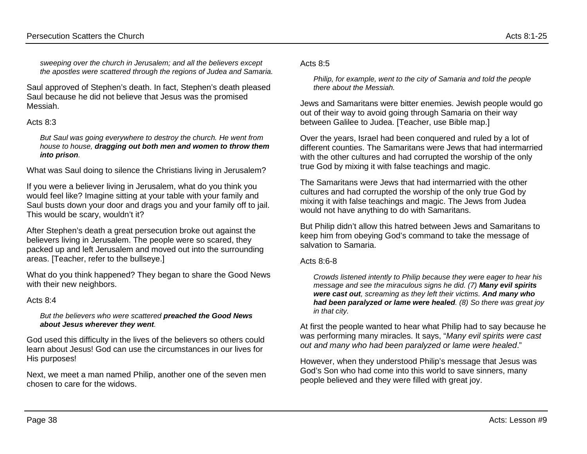*sweeping over the church in Jerusalem; and all the believers except the apostles were scattered through the regions of Judea and Samaria.*

Saul approved of Stephen's death. In fact, Stephen's death pleased Saul because he did not believe that Jesus was the promised Messiah.

#### Acts 8:3

*But Saul was going everywhere to destroy the church. He went from house to house, dragging out both men and women to throw them into prison.*

What was Saul doing to silence the Christians living in Jerusalem?

If you were a believer living in Jerusalem, what do you think you would feel like? Imagine sitting at your table with your family and Saul busts down your door and drags you and your family off to jail. This would be scary, wouldn't it?

After Stephen's death a great persecution broke out against the believers living in Jerusalem. The people were so scared, they packed up and left Jerusalem and moved out into the surrounding areas. [Teacher, refer to the bullseye.]

What do you think happened? They began to share the Good News with their new neighbors.

### Acts 8:4

#### *But the believers who were scattered preached the Good News about Jesus wherever they went.*

God used this difficulty in the lives of the believers so others could learn about Jesus! God can use the circumstances in our lives for His purposes!

Next, we meet a man named Philip, another one of the seven men chosen to care for the widows.

#### Acts 8:5

*Philip, for example, went to the city of Samaria and told the people there about the Messiah.*

Jews and Samaritans were bitter enemies. Jewish people would go out of their way to avoid going through Samaria on their way between Galilee to Judea. [Teacher, use Bible map.]

Over the years, Israel had been conquered and ruled by a lot of different counties. The Samaritans were Jews that had intermarried with the other cultures and had corrupted the worship of the only true God by mixing it with false teachings and magic.

The Samaritans were Jews that had intermarried with the other cultures and had corrupted the worship of the only true God by mixing it with false teachings and magic. The Jews from Judea would not have anything to do with Samaritans.

But Philip didn't allow this hatred between Jews and Samaritans to keep him from obeying God's command to take the message of salvation to Samaria.

#### Acts 8:6-8

*Crowds listened intently to Philip because they were eager to hear his message and see the miraculous signs he did. (7) Many evil spirits were cast out, screaming as they left their victims. And many who had been paralyzed or lame were healed. (8) So there was great joy in that city.*

At first the people wanted to hear what Philip had to say because he was performing many miracles. It says, "*Many evil spirits were cast out and many who had been paralyzed or lame were healed*."

However, when they understood Philip's message that Jesus was God's Son who had come into this world to save sinners, many people believed and they were filled with great joy.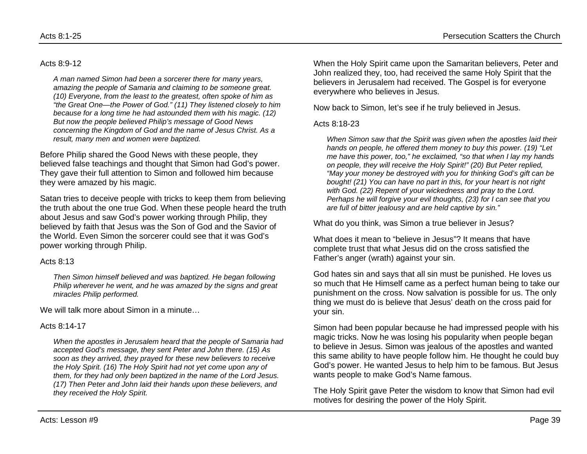#### Acts 8:9-12

*A man named Simon had been a sorcerer there for many years, amazing the people of Samaria and claiming to be someone great. (10) Everyone, from the least to the greatest, often spoke of him as "the Great One—the Power of God." (11) They listened closely to him because for a long time he had astounded them with his magic. (12) But now the people believed Philip's message of Good News concerning the Kingdom of God and the name of Jesus Christ. As a result, many men and women were baptized.*

Before Philip shared the Good News with these people, they believed false teachings and thought that Simon had God's power. They gave their full attention to Simon and followed him because they were amazed by his magic.

Satan tries to deceive people with tricks to keep them from believing the truth about the one true God. When these people heard the truth about Jesus and saw God's power working through Philip, they believed by faith that Jesus was the Son of God and the Savior of the World. Even Simon the sorcerer could see that it was God's power working through Philip.

#### Acts 8:13

*Then Simon himself believed and was baptized. He began following Philip wherever he went, and he was amazed by the signs and great miracles Philip performed.*

We will talk more about Simon in a minute…

#### Acts 8:14-17

*When the apostles in Jerusalem heard that the people of Samaria had accepted God's message, they sent Peter and John there. (15) As soon as they arrived, they prayed for these new believers to receive the Holy Spirit. (16) The Holy Spirit had not yet come upon any of them, for they had only been baptized in the name of the Lord Jesus. (17) Then Peter and John laid their hands upon these believers, and they received the Holy Spirit.*

When the Holy Spirit came upon the Samaritan believers, Peter and John realized they, too, had received the same Holy Spirit that the believers in Jerusalem had received. The Gospel is for everyone everywhere who believes in Jesus.

Now back to Simon, let's see if he truly believed in Jesus.

#### Acts 8:18-23

*When Simon saw that the Spirit was given when the apostles laid their hands on people, he offered them money to buy this power. (19) "Let me have this power, too," he exclaimed, "so that when I lay my hands on people, they will receive the Holy Spirit!" (20) But Peter replied, "May your money be destroyed with you for thinking God's gift can be bought! (21) You can have no part in this, for your heart is not right with God. (22) Repent of your wickedness and pray to the Lord. Perhaps he will forgive your evil thoughts, (23) for I can see that you are full of bitter jealousy and are held captive by sin."*

What do you think, was Simon a true believer in Jesus?

What does it mean to "believe in Jesus"? It means that have complete trust that what Jesus did on the cross satisfied the Father's anger (wrath) against your sin.

God hates sin and says that all sin must be punished. He loves us so much that He Himself came as a perfect human being to take our punishment on the cross. Now salvation is possible for us. The only thing we must do is believe that Jesus' death on the cross paid for your sin.

Simon had been popular because he had impressed people with his magic tricks. Now he was losing his popularity when people began to believe in Jesus. Simon was jealous of the apostles and wanted this same ability to have people follow him. He thought he could buy God's power. He wanted Jesus to help him to be famous. But Jesus wants people to make God's Name famous.

The Holy Spirit gave Peter the wisdom to know that Simon had evil motives for desiring the power of the Holy Spirit.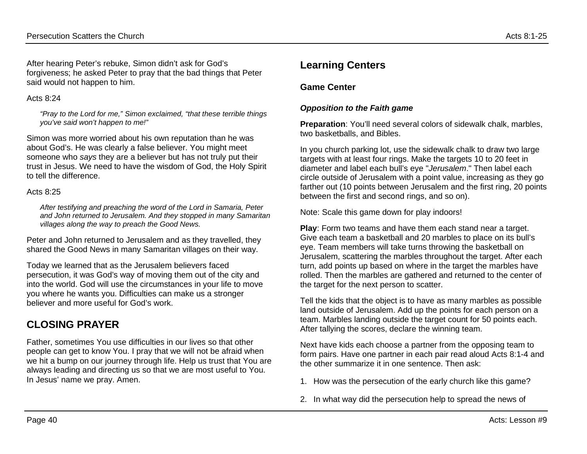After hearing Peter's rebuke, Simon didn't ask for God's forgiveness; he asked Peter to pray that the bad things that Peter said would not happen to him.

### Acts  $8.24$

*"Pray to the Lord for me," Simon exclaimed, "that these terrible things you've said won't happen to me!"*

Simon was more worried about his own reputation than he was about God's. He was clearly a false believer. You might meet someone who *says* they are a believer but has not truly put their trust in Jesus. We need to have the wisdom of God, the Holy Spirit to tell the difference.

### Acts  $8.25$

*After testifying and preaching the word of the Lord in Samaria, Peter and John returned to Jerusalem. And they stopped in many Samaritan villages along the way to preach the Good News.*

Peter and John returned to Jerusalem and as they travelled, they shared the Good News in many Samaritan villages on their way.

Today we learned that as the Jerusalem believers faced persecution, it was God's way of moving them out of the city and into the world. God will use the circumstances in your life to move you where he wants you. Difficulties can make us a stronger believer and more useful for God's work.

# **CLOSING PRAYER**

Father, sometimes You use difficulties in our lives so that other people can get to know You. I pray that we will not be afraid when we hit a bump on our journey through life. Help us trust that You are always leading and directing us so that we are most useful to You. In Jesus' name we pray. Amen.

# **Learning Centers**

## **Game Center**

## *Opposition to the Faith game*

**Preparation:** You'll need several colors of sidewalk chalk, marbles, two basketballs, and Bibles.

In you church parking lot, use the sidewalk chalk to draw two large targets with at least four rings. Make the targets 10 to 20 feet in diameter and label each bull's eye "*Jerusalem*." Then label each circle outside of Jerusalem with a point value, increasing as they go farther out (10 points between Jerusalem and the first ring, 20 points between the first and second rings, and so on).

Note: Scale this game down for play indoors!

**Play**: Form two teams and have them each stand near a target. Give each team a basketball and 20 marbles to place on its bull's eye. Team members will take turns throwing the basketball on Jerusalem, scattering the marbles throughout the target. After each turn, add points up based on where in the target the marbles have rolled. Then the marbles are gathered and returned to the center of the target for the next person to scatter.

Tell the kids that the object is to have as many marbles as possible land outside of Jerusalem. Add up the points for each person on a team. Marbles landing outside the target count for 50 points each. After tallying the scores, declare the winning team.

Next have kids each choose a partner from the opposing team to form pairs. Have one partner in each pair read aloud Acts 8:1-4 and the other summarize it in one sentence. Then ask:

- 1. How was the persecution of the early church like this game?
- 2. In what way did the persecution help to spread the news of